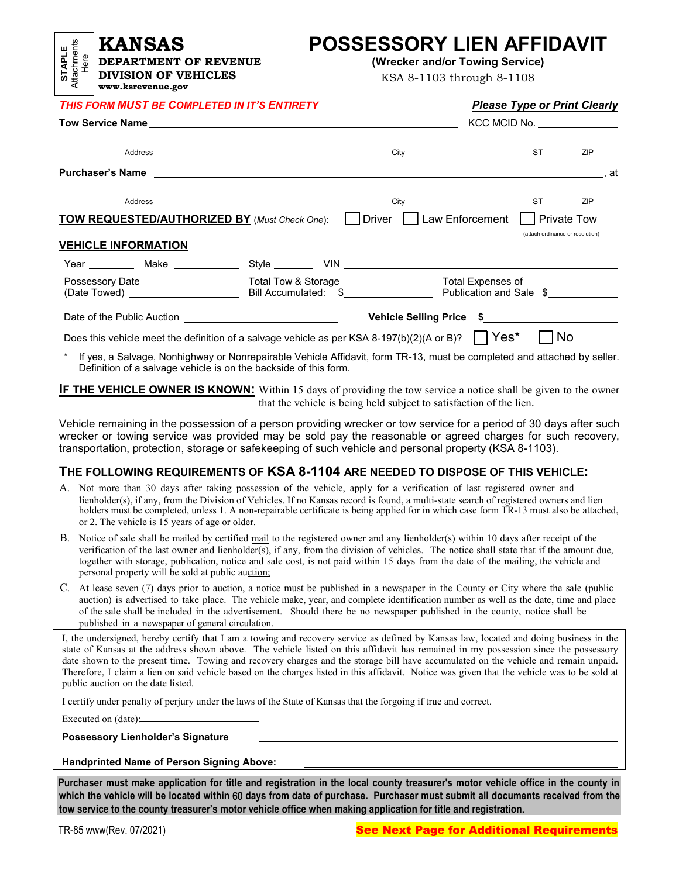|  |  | <b>KANSAS</b>               |
|--|--|-----------------------------|
|  |  | DEPARTMENT OF REVENUE       |
|  |  | <b>DIVISION OF VEHICLES</b> |
|  |  | www.ksrevenue.gov           |

## **POSSESSORY LIEN AFFIDAVIT**

**(Wrecker and/or Towing Service)** 

KSA 8-1103 through 8-1108

| THIS FORM MUST BE COMPLETED IN IT'S ENTIRETY         |                                                                                                        | <b>Please Type or Print Clearly</b>                   |                                  |     |  |
|------------------------------------------------------|--------------------------------------------------------------------------------------------------------|-------------------------------------------------------|----------------------------------|-----|--|
|                                                      |                                                                                                        |                                                       | KCC MCID No.                     |     |  |
| Address                                              |                                                                                                        | City                                                  | <b>ST</b>                        | ZIP |  |
|                                                      |                                                                                                        |                                                       |                                  |     |  |
| Address                                              |                                                                                                        | City                                                  | ST <sub>2</sub>                  | ZIP |  |
| <b>TOW REQUESTED/AUTHORIZED BY</b> (Must Check One): |                                                                                                        | Driver   Law Enforcement   Private Tow                |                                  |     |  |
| <b>VEHICLE INFORMATION</b>                           |                                                                                                        |                                                       | (attach ordinance or resolution) |     |  |
|                                                      |                                                                                                        |                                                       |                                  |     |  |
| Possessory Date                                      | Total Tow & Storage The Total Expenses of                                                              |                                                       |                                  |     |  |
|                                                      |                                                                                                        | Vehicle Selling Price \$ And All the Selling Price \$ |                                  |     |  |
|                                                      | Does this vehicle meet the definition of a salvage vehicle as per KSA 8-197(b)(2)(A or B)? $\Box$ Yes* |                                                       |                                  | No. |  |

If yes, a Salvage, Nonhighway or Nonrepairable Vehicle Affidavit, form TR-13, must be completed and attached by seller. Definition of a salvage vehicle is on the backside of this form.

**IF THE VEHICLE OWNER IS KNOWN:** Within 15 days of providing the tow service a notice shall be given to the owner that the vehicle is being held subject to satisfaction of the lien.

Vehicle remaining in the possession of a person providing wrecker or tow service for a period of 30 days after such wrecker or towing service was provided may be sold pay the reasonable or agreed charges for such recovery, transportation, protection, storage or safekeeping of such vehicle and personal property (KSA 8-1103).

#### **THE FOLLOWING REQUIREMENTS OF KSA 8-1104 ARE NEEDED TO DISPOSE OF THIS VEHICLE:**

- A. Not more than 30 days after taking possession of the vehicle, apply for a verification of last registered owner and lienholder(s), if any, from the Division of Vehicles. If no Kansas record is found, a multi-state search of registered owners and lien holders must be completed, unless 1. A non-repairable certificate is being applied for in which case form TR-13 must also be attached, or 2. The vehicle is 15 years of age or older.
- B. Notice of sale shall be mailed by certified mail to the registered owner and any lienholder(s) within 10 days after receipt of the verification of the last owner and lienholder(s), if any, from the division of vehicles. The notice shall state that if the amount due, together with storage, publication, notice and sale cost, is not paid within 15 days from the date of the mailing, the vehicle and personal property will be sold at public auction;
- C. At lease seven (7) days prior to auction, a notice must be published in a newspaper in the County or City where the sale (public auction) is advertised to take place. The vehicle make, year, and complete identification number as well as the date, time and place of the sale shall be included in the advertisement. Should there be no newspaper published in the county, notice shall be published in a newspaper of general circulation.

I, the undersigned, hereby certify that I am a towing and recovery service as defined by Kansas law, located and doing business in the state of Kansas at the address shown above. The vehicle listed on this affidavit has remained in my possession since the possessory date shown to the present time. Towing and recovery charges and the storage bill have accumulated on the vehicle and remain unpaid. Therefore, I claim a lien on said vehicle based on the charges listed in this affidavit. Notice was given that the vehicle was to be sold at public auction on the date listed.

I certify under penalty of perjury under the laws of the State of Kansas that the forgoing if true and correct.

Executed on (date):

**Possessory Lienholder's Signature** 

**Handprinted Name of Person Signing Above:** 

**Purchaser must make application for title and registration in the local county treasurer's motor vehicle office in the county in which the vehicle will be located within** 60 **days from date of purchase. Purchaser must submit all documents received from the tow service to the county treasurer's motor vehicle office when making application for title and registration.**